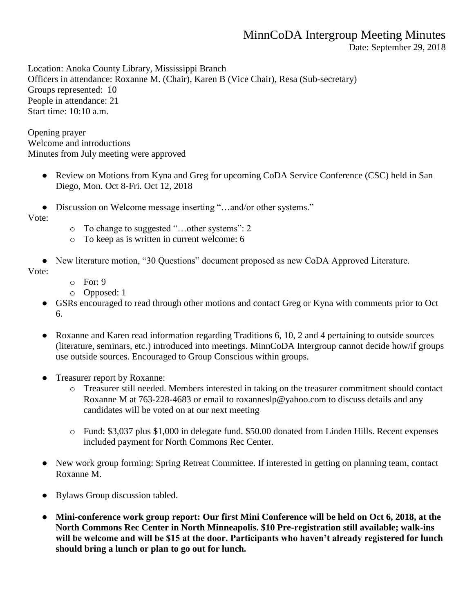## MinnCoDA Intergroup Meeting Minutes

Date: September 29, 2018

Location: Anoka County Library, Mississippi Branch Officers in attendance: Roxanne M. (Chair), Karen B (Vice Chair), Resa (Sub-secretary) Groups represented: 10 People in attendance: 21 Start time: 10:10 a.m.

Opening prayer Welcome and introductions Minutes from July meeting were approved

- Review on Motions from Kyna and Greg for upcoming CoDA Service Conference (CSC) held in San Diego, Mon. Oct 8-Fri. Oct 12, 2018
- Discussion on Welcome message inserting "...and/or other systems."

Vote:

- o To change to suggested "…other systems": 2
- o To keep as is written in current welcome: 6
- New literature motion, "30 Questions" document proposed as new CoDA Approved Literature. Vote:
	- o For: 9
	- o Opposed: 1
	- GSRs encouraged to read through other motions and contact Greg or Kyna with comments prior to Oct 6.
	- Roxanne and Karen read information regarding Traditions 6, 10, 2 and 4 pertaining to outside sources (literature, seminars, etc.) introduced into meetings. MinnCoDA Intergroup cannot decide how/if groups use outside sources. Encouraged to Group Conscious within groups.
	- Treasurer report by Roxanne:
		- o Treasurer still needed. Members interested in taking on the treasurer commitment should contact Roxanne M at 763-228-4683 or email to roxanneslp@yahoo.com to discuss details and any candidates will be voted on at our next meeting
		- o Fund: \$3,037 plus \$1,000 in delegate fund. \$50.00 donated from Linden Hills. Recent expenses included payment for North Commons Rec Center.
	- New work group forming: Spring Retreat Committee. If interested in getting on planning team, contact Roxanne M.
	- Bylaws Group discussion tabled.
	- **Mini-conference work group report: Our first Mini Conference will be held on Oct 6, 2018, at the North Commons Rec Center in North Minneapolis. \$10 Pre-registration still available; walk-ins will be welcome and will be \$15 at the door. Participants who haven't already registered for lunch should bring a lunch or plan to go out for lunch.**